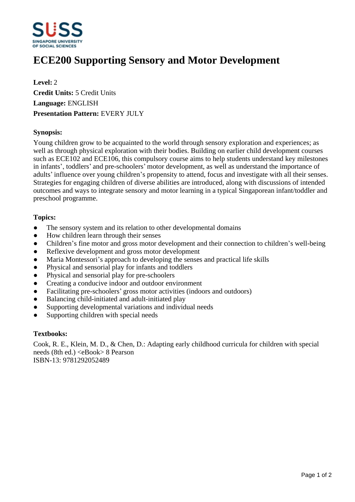

# **ECE200 Supporting Sensory and Motor Development**

**Level:** 2 **Credit Units:** 5 Credit Units **Language:** ENGLISH **Presentation Pattern:** EVERY JULY

# **Synopsis:**

Young children grow to be acquainted to the world through sensory exploration and experiences; as well as through physical exploration with their bodies. Building on earlier child development courses such as ECE102 and ECE106, this compulsory course aims to help students understand key milestones in infants', toddlers' and pre-schoolers' motor development, as well as understand the importance of adults' influence over young children's propensity to attend, focus and investigate with all their senses. Strategies for engaging children of diverse abilities are introduced, along with discussions of intended outcomes and ways to integrate sensory and motor learning in a typical Singaporean infant/toddler and preschool programme.

# **Topics:**

- The sensory system and its relation to other developmental domains
- How children learn through their senses
- Children's fine motor and gross motor development and their connection to children's well-being
- Reflexive development and gross motor development
- Maria Montessori's approach to developing the senses and practical life skills
- Physical and sensorial play for infants and toddlers
- Physical and sensorial play for pre-schoolers
- Creating a conducive indoor and outdoor environment
- Facilitating pre-schoolers' gross motor activities (indoors and outdoors)
- Balancing child-initiated and adult-initiated play
- Supporting developmental variations and individual needs
- Supporting children with special needs

#### **Textbooks:**

Cook, R. E., Klein, M. D., & Chen, D.: Adapting early childhood curricula for children with special needs (8th ed.) <eBook> 8 Pearson ISBN-13: 9781292052489